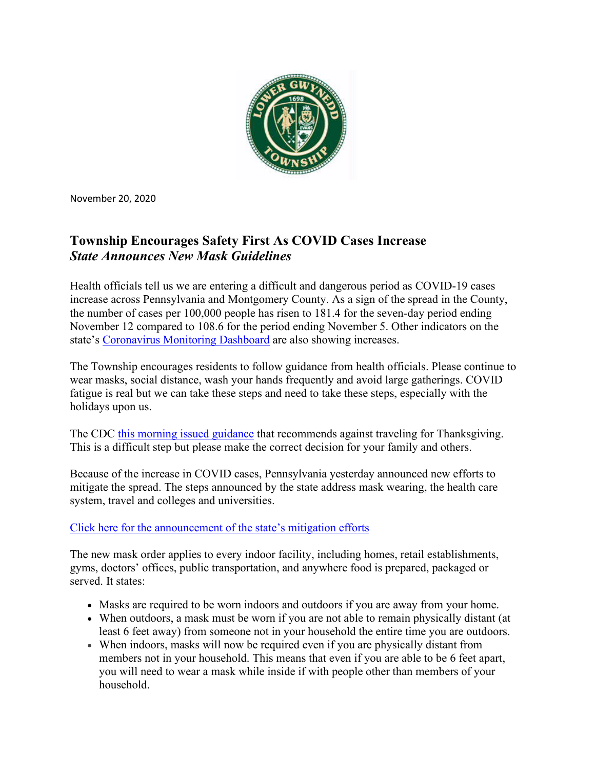

November 20, 2020

# **Township Encourages Safety First As COVID Cases Increase** *State Announces New Mask Guidelines*

Health officials tell us we are entering a difficult and dangerous period as COVID-19 cases increase across Pennsylvania and Montgomery County. As a sign of the spread in the County, the number of cases per 100,000 people has risen to 181.4 for the seven-day period ending November 12 compared to 108.6 for the period ending November 5. Other indicators on the state's [Coronavirus Monitoring Dashboard](https://www.health.pa.gov/topics/disease/coronavirus/Pages/Monitoring-Dashboard.aspx) are also showing increases.

The Township encourages residents to follow guidance from health officials. Please continue to wear masks, social distance, wash your hands frequently and avoid large gatherings. COVID fatigue is real but we can take these steps and need to take these steps, especially with the holidays upon us.

The CDC [this morning issued guidance](https://www.cdc.gov/coronavirus/2019-ncov/daily-life-coping/holidays/thanksgiving.html) that recommends against traveling for Thanksgiving. This is a difficult step but please make the correct decision for your family and others.

Because of the increase in COVID cases, Pennsylvania yesterday announced new efforts to mitigate the spread. The steps announced by the state address mask wearing, the health care system, travel and colleges and universities.

#### [Click here for the announcement of the state's mitigation efforts](https://www.media.pa.gov/pages/health-details.aspx?newsid=1140)

The new mask order applies to every indoor facility, including homes, retail establishments, gyms, doctors' offices, public transportation, and anywhere food is prepared, packaged or served. It states:

- Masks are required to be worn indoors and outdoors if you are away from your home.
- When outdoors, a mask must be worn if you are not able to remain physically distant (at least 6 feet away) from someone not in your household the entire time you are outdoors.
- When indoors, masks will now be required even if you are physically distant from members not in your household. This means that even if you are able to be 6 feet apart, you will need to wear a mask while inside if with people other than members of your household.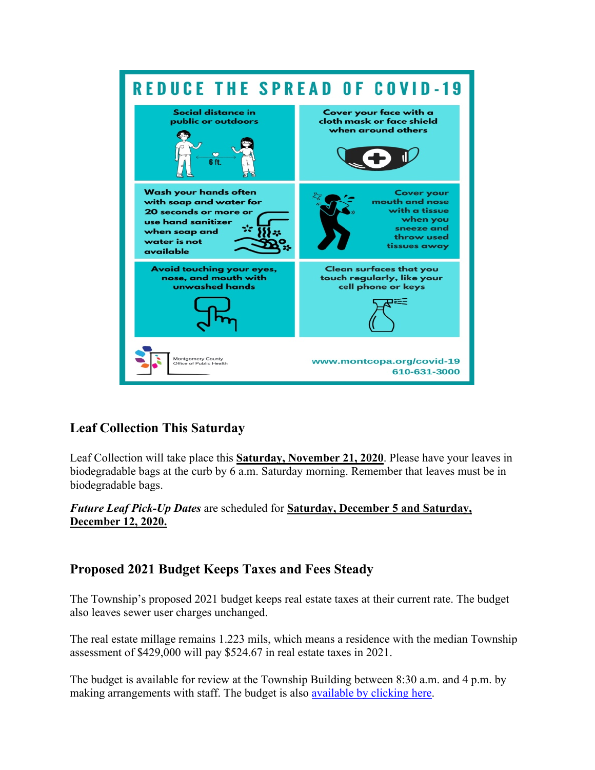

# **Leaf Collection This Saturday**

Leaf Collection will take place this **Saturday, November 21, 2020**. Please have your leaves in biodegradable bags at the curb by 6 a.m. Saturday morning. Remember that leaves must be in biodegradable bags.

*Future Leaf Pick-Up Dates* are scheduled for **Saturday, December 5 and Saturday, December 12, 2020.**

# **Proposed 2021 Budget Keeps Taxes and Fees Steady**

The Township's proposed 2021 budget keeps real estate taxes at their current rate. The budget also leaves sewer user charges unchanged.

The real estate millage remains 1.223 mils, which means a residence with the median Township assessment of \$429,000 will pay \$524.67 in real estate taxes in 2021.

The budget is available for review at the Township Building between 8:30 a.m. and 4 p.m. by making arrangements with staff. The budget is also **available by clicking here**.